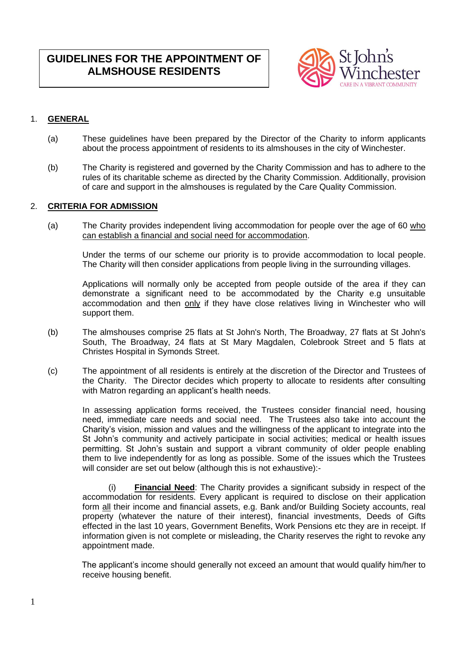# **GUIDELINES FOR THE APPOINTMENT OF ALMSHOUSE RESIDENTS**



## 1. **GENERAL**

- (a) These guidelines have been prepared by the Director of the Charity to inform applicants about the process appointment of residents to its almshouses in the city of Winchester.
- (b) The Charity is registered and governed by the Charity Commission and has to adhere to the rules of its charitable scheme as directed by the Charity Commission. Additionally, provision of care and support in the almshouses is regulated by the Care Quality Commission.

## 2. **CRITERIA FOR ADMISSION**

(a) The Charity provides independent living accommodation for people over the age of 60 who can establish a financial and social need for accommodation.

Under the terms of our scheme our priority is to provide accommodation to local people. The Charity will then consider applications from people living in the surrounding villages.

Applications will normally only be accepted from people outside of the area if they can demonstrate a significant need to be accommodated by the Charity e.g unsuitable accommodation and then only if they have close relatives living in Winchester who will support them.

- (b) The almshouses comprise 25 flats at St John's North, The Broadway, 27 flats at St John's South, The Broadway, 24 flats at St Mary Magdalen, Colebrook Street and 5 flats at Christes Hospital in Symonds Street.
- (c) The appointment of all residents is entirely at the discretion of the Director and Trustees of the Charity. The Director decides which property to allocate to residents after consulting with Matron regarding an applicant's health needs.

In assessing application forms received, the Trustees consider financial need, housing need, immediate care needs and social need. The Trustees also take into account the Charity's vision, mission and values and the willingness of the applicant to integrate into the St John's community and actively participate in social activities; medical or health issues permitting. St John's sustain and support a vibrant community of older people enabling them to live independently for as long as possible. Some of the issues which the Trustees will consider are set out below (although this is not exhaustive):-

(i) **Financial Need**: The Charity provides a significant subsidy in respect of the accommodation for residents. Every applicant is required to disclose on their application form all their income and financial assets, e.g. Bank and/or Building Society accounts, real property (whatever the nature of their interest), financial investments, Deeds of Gifts effected in the last 10 years, Government Benefits, Work Pensions etc they are in receipt. If information given is not complete or misleading, the Charity reserves the right to revoke any appointment made.

 The applicant's income should generally not exceed an amount that would qualify him/her to receive housing benefit.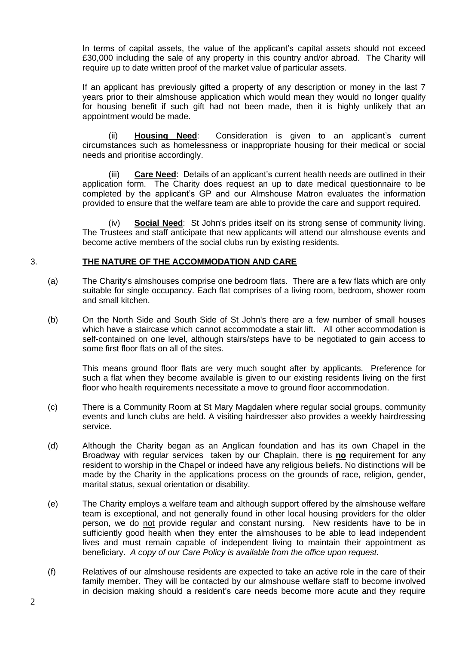In terms of capital assets, the value of the applicant's capital assets should not exceed £30,000 including the sale of any property in this country and/or abroad. The Charity will require up to date written proof of the market value of particular assets.

If an applicant has previously gifted a property of any description or money in the last 7 years prior to their almshouse application which would mean they would no longer qualify for housing benefit if such gift had not been made, then it is highly unlikely that an appointment would be made.

(ii) **Housing Need**: Consideration is given to an applicant's current circumstances such as homelessness or inappropriate housing for their medical or social needs and prioritise accordingly.

(iii) **Care Need**: Details of an applicant's current health needs are outlined in their application form. The Charity does request an up to date medical questionnaire to be completed by the applicant's GP and our Almshouse Matron evaluates the information provided to ensure that the welfare team are able to provide the care and support required.

(iv) **Social Need**: St John's prides itself on its strong sense of community living. The Trustees and staff anticipate that new applicants will attend our almshouse events and become active members of the social clubs run by existing residents.

### 3. **THE NATURE OF THE ACCOMMODATION AND CARE**

- (a) The Charity's almshouses comprise one bedroom flats. There are a few flats which are only suitable for single occupancy. Each flat comprises of a living room, bedroom, shower room and small kitchen.
- (b) On the North Side and South Side of St John's there are a few number of small houses which have a staircase which cannot accommodate a stair lift. All other accommodation is self-contained on one level, although stairs/steps have to be negotiated to gain access to some first floor flats on all of the sites.

This means ground floor flats are very much sought after by applicants. Preference for such a flat when they become available is given to our existing residents living on the first floor who health requirements necessitate a move to ground floor accommodation.

- (c) There is a Community Room at St Mary Magdalen where regular social groups, community events and lunch clubs are held. A visiting hairdresser also provides a weekly hairdressing service.
- (d) Although the Charity began as an Anglican foundation and has its own Chapel in the Broadway with regular services taken by our Chaplain, there is **no** requirement for any resident to worship in the Chapel or indeed have any religious beliefs. No distinctions will be made by the Charity in the applications process on the grounds of race, religion, gender, marital status, sexual orientation or disability.
- (e) The Charity employs a welfare team and although support offered by the almshouse welfare team is exceptional, and not generally found in other local housing providers for the older person, we do not provide regular and constant nursing. New residents have to be in sufficiently good health when they enter the almshouses to be able to lead independent lives and must remain capable of independent living to maintain their appointment as beneficiary. *A copy of our Care Policy is available from the office upon request.*
- (f) Relatives of our almshouse residents are expected to take an active role in the care of their family member. They will be contacted by our almshouse welfare staff to become involved in decision making should a resident's care needs become more acute and they require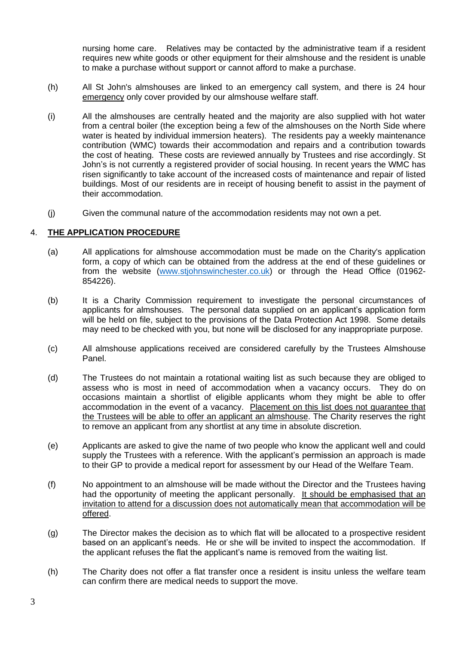nursing home care. Relatives may be contacted by the administrative team if a resident requires new white goods or other equipment for their almshouse and the resident is unable to make a purchase without support or cannot afford to make a purchase.

- (h) All St John's almshouses are linked to an emergency call system, and there is 24 hour emergency only cover provided by our almshouse welfare staff.
- (i) All the almshouses are centrally heated and the majority are also supplied with hot water from a central boiler (the exception being a few of the almshouses on the North Side where water is heated by individual immersion heaters). The residents pay a weekly maintenance contribution (WMC) towards their accommodation and repairs and a contribution towards the cost of heating. These costs are reviewed annually by Trustees and rise accordingly. St John's is not currently a registered provider of social housing. In recent years the WMC has risen significantly to take account of the increased costs of maintenance and repair of listed buildings. Most of our residents are in receipt of housing benefit to assist in the payment of their accommodation.
- (j) Given the communal nature of the accommodation residents may not own a pet.

### 4. **THE APPLICATION PROCEDURE**

- (a) All applications for almshouse accommodation must be made on the Charity's application form, a copy of which can be obtained from the address at the end of these guidelines or from the website [\(www.stjohnswinchester.co.uk\)](http://www.stjohnswinchester.co.uk/) or through the Head Office (01962- 854226).
- (b) It is a Charity Commission requirement to investigate the personal circumstances of applicants for almshouses. The personal data supplied on an applicant's application form will be held on file, subject to the provisions of the Data Protection Act 1998. Some details may need to be checked with you, but none will be disclosed for any inappropriate purpose.
- (c) All almshouse applications received are considered carefully by the Trustees Almshouse Panel.
- (d) The Trustees do not maintain a rotational waiting list as such because they are obliged to assess who is most in need of accommodation when a vacancy occurs. They do on occasions maintain a shortlist of eligible applicants whom they might be able to offer accommodation in the event of a vacancy. Placement on this list does not guarantee that the Trustees will be able to offer an applicant an almshouse. The Charity reserves the right to remove an applicant from any shortlist at any time in absolute discretion.
- (e) Applicants are asked to give the name of two people who know the applicant well and could supply the Trustees with a reference. With the applicant's permission an approach is made to their GP to provide a medical report for assessment by our Head of the Welfare Team.
- (f) No appointment to an almshouse will be made without the Director and the Trustees having had the opportunity of meeting the applicant personally. It should be emphasised that an invitation to attend for a discussion does not automatically mean that accommodation will be offered.
- (g) The Director makes the decision as to which flat will be allocated to a prospective resident based on an applicant's needs. He or she will be invited to inspect the accommodation. If the applicant refuses the flat the applicant's name is removed from the waiting list.
- (h) The Charity does not offer a flat transfer once a resident is insitu unless the welfare team can confirm there are medical needs to support the move.